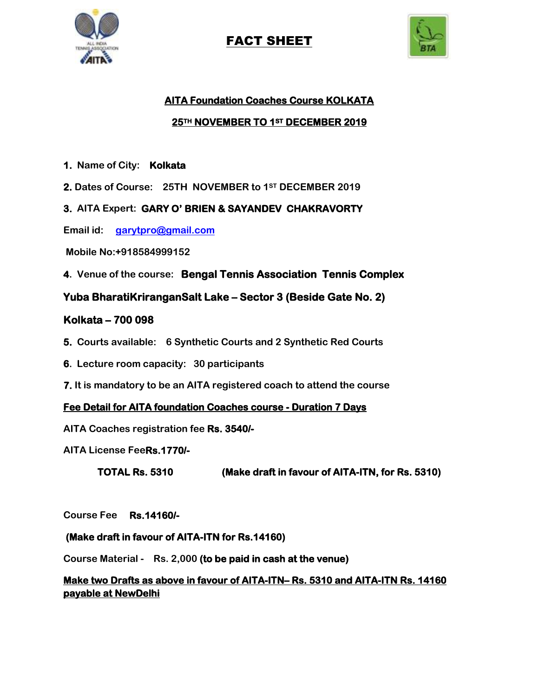

# FACT SHEET



# **AITA Foundation Coaches Course KOLKATA 25TH NOVEMBER TO 1ST DECEMBER 2019**

- **1. Name of City: Kolkata**
- **2. Dates of Course: 25TH NOVEMBER to 1ST DECEMBER 2019**
- **3. AITA Expert: GARY O' BRIEN & SAYANDEV CHAKRAVORTY**
- **Email id: [garytpro@gmail.com](mailto:garytpro@gmail.com)**
- **Mobile No:+918584999152**
- **4. Venue of the course: Bengal Tennis Association Tennis Complex**

**Yuba BharatiKriranganSalt Lake – Sector 3 (Beside Gate No. 2)** 

### **Kolkata – 700 098**

- **5. Courts available: 6 Synthetic Courts and 2 Synthetic Red Courts**
- **6. Lecture room capacity: 30 participants**
- **7. It is mandatory to be an AITA registered coach to attend the course**

#### **Fee Detail for AITA foundation Coaches course - Duration 7 Days**

- **AITA Coaches registration fee Rs. 3540/-**
- **AITA License FeeRs.1770/-**

**TOTAL Rs. 5310 (Make draft in favour of AITA-ITN, for Rs. 5310)** 

**Course Fee Rs.14160/-** 

#### **(Make draft in favour of AITA-ITN for Rs.14160)**

**Course Material - Rs. 2,000 (to be paid in cash at the venue)** 

## **Make two Drafts as above in favour of AITA-ITN– Rs. 5310 and AITA-ITN Rs. 14160 payable at NewDelhi**